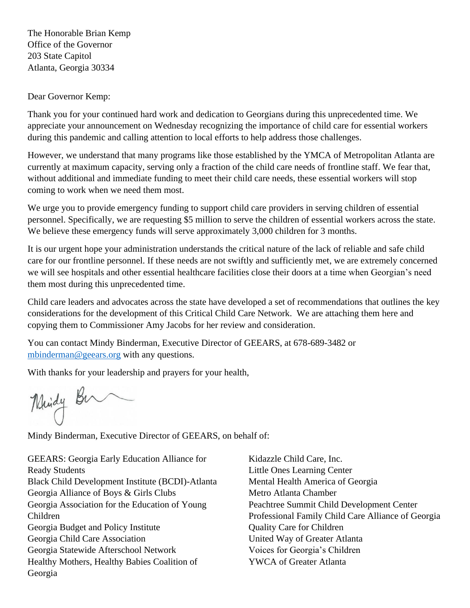The Honorable Brian Kemp Office of the Governor 203 State Capitol Atlanta, Georgia 30334

Dear Governor Kemp:

Thank you for your continued hard work and dedication to Georgians during this unprecedented time. We appreciate your announcement on Wednesday recognizing the importance of child care for essential workers during this pandemic and calling attention to local efforts to help address those challenges.

However, we understand that many programs like those established by the YMCA of Metropolitan Atlanta are currently at maximum capacity, serving only a fraction of the child care needs of frontline staff. We fear that, without additional and immediate funding to meet their child care needs, these essential workers will stop coming to work when we need them most.

We urge you to provide emergency funding to support child care providers in serving children of essential personnel. Specifically, we are requesting \$5 million to serve the children of essential workers across the state. We believe these emergency funds will serve approximately 3,000 children for 3 months.

It is our urgent hope your administration understands the critical nature of the lack of reliable and safe child care for our frontline personnel. If these needs are not swiftly and sufficiently met, we are extremely concerned we will see hospitals and other essential healthcare facilities close their doors at a time when Georgian's need them most during this unprecedented time.

Child care leaders and advocates across the state have developed a set of recommendations that outlines the key considerations for the development of this Critical Child Care Network. We are attaching them here and copying them to Commissioner Amy Jacobs for her review and consideration.

You can contact Mindy Binderman, Executive Director of GEEARS, at 678-689-3482 or [mbinderman@geears.org](mailto:mbinderman@geears.org) with any questions.

With thanks for your leadership and prayers for your health,

Mindy Bu

Mindy Binderman, Executive Director of GEEARS, on behalf of:

GEEARS: Georgia Early Education Alliance for Ready Students Black Child Development Institute (BCDI)-Atlanta Georgia Alliance of Boys & Girls Clubs Georgia Association for the Education of Young Children Georgia Budget and Policy Institute Georgia Child Care Association Georgia Statewide Afterschool Network Healthy Mothers, Healthy Babies Coalition of Georgia

Kidazzle Child Care, Inc. Little Ones Learning Center Mental Health America of Georgia Metro Atlanta Chamber Peachtree Summit Child Development Center Professional Family Child Care Alliance of Georgia Quality Care for Children United Way of Greater Atlanta Voices for Georgia's Children YWCA of Greater Atlanta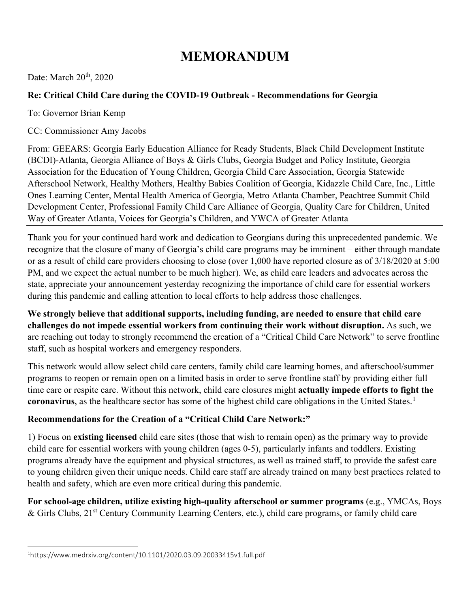# **MEMORANDUM**

Date: March  $20<sup>th</sup>$ ,  $2020$ 

### **Re: Critical Child Care during the COVID-19 Outbreak - Recommendations for Georgia**

To: Governor Brian Kemp

CC: Commissioner Amy Jacobs

From: GEEARS: Georgia Early Education Alliance for Ready Students, Black Child Development Institute (BCDI)-Atlanta, Georgia Alliance of Boys & Girls Clubs, Georgia Budget and Policy Institute, Georgia Association for the Education of Young Children, Georgia Child Care Association, Georgia Statewide Afterschool Network, Healthy Mothers, Healthy Babies Coalition of Georgia, Kidazzle Child Care, Inc., Little Ones Learning Center, Mental Health America of Georgia, Metro Atlanta Chamber, Peachtree Summit Child Development Center, Professional Family Child Care Alliance of Georgia, Quality Care for Children, United Way of Greater Atlanta, Voices for Georgia's Children, and YWCA of Greater Atlanta

Thank you for your continued hard work and dedication to Georgians during this unprecedented pandemic. We recognize that the closure of many of Georgia's child care programs may be imminent – either through mandate or as a result of child care providers choosing to close (over 1,000 have reported closure as of 3/18/2020 at 5:00 PM, and we expect the actual number to be much higher). We, as child care leaders and advocates across the state, appreciate your announcement yesterday recognizing the importance of child care for essential workers during this pandemic and calling attention to local efforts to help address those challenges.

**We strongly believe that additional supports, including funding, are needed to ensure that child care challenges do not impede essential workers from continuing their work without disruption.** As such, we are reaching out today to strongly recommend the creation of a "Critical Child Care Network" to serve frontline staff, such as hospital workers and emergency responders.

This network would allow select child care centers, family child care learning homes, and afterschool/summer programs to reopen or remain open on a limited basis in order to serve frontline staff by providing either full time care or respite care. Without this network, child care closures might **actually impede efforts to fight the coronavirus**, as the healthcare sector has some of the highest child care obligations in the United States. [1](#page-1-0)

## **Recommendations for the Creation of a "Critical Child Care Network:"**

1) Focus on **existing licensed** child care sites (those that wish to remain open) as the primary way to provide child care for essential workers with young children (ages 0-5), particularly infants and toddlers. Existing programs already have the equipment and physical structures, as well as trained staff, to provide the safest care to young children given their unique needs. Child care staff are already trained on many best practices related to health and safety, which are even more critical during this pandemic.

**For school-age children, utilize existing high-quality afterschool or summer programs** (e.g., YMCAs, Boys  $\&$  Girls Clubs, 21<sup>st</sup> Century Community Learning Centers, etc.), child care programs, or family child care

<span id="page-1-0"></span><sup>1</sup> https://www.medrxiv.org/content/10.1101/2020.03.09.20033415v1.full.pdf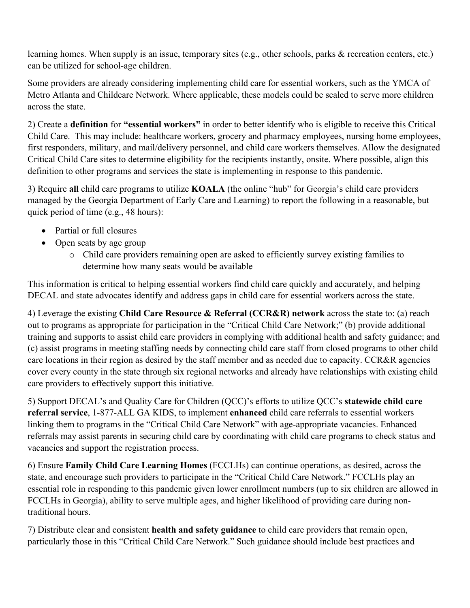learning homes. When supply is an issue, temporary sites (e.g., other schools, parks & recreation centers, etc.) can be utilized for school-age children.

Some providers are already considering implementing child care for essential workers, such as the YMCA of Metro Atlanta and Childcare Network. Where applicable, these models could be scaled to serve more children across the state.

2) Create a **definition** for **"essential workers"** in order to better identify who is eligible to receive this Critical Child Care. This may include: healthcare workers, grocery and pharmacy employees, nursing home employees, first responders, military, and mail/delivery personnel, and child care workers themselves. Allow the designated Critical Child Care sites to determine eligibility for the recipients instantly, onsite. Where possible, align this definition to other programs and services the state is implementing in response to this pandemic.

3) Require **all** child care programs to utilize **KOALA** (the online "hub" for Georgia's child care providers managed by the Georgia Department of Early Care and Learning) to report the following in a reasonable, but quick period of time (e.g., 48 hours):

- Partial or full closures
- Open seats by age group
	- o Child care providers remaining open are asked to efficiently survey existing families to determine how many seats would be available

This information is critical to helping essential workers find child care quickly and accurately, and helping DECAL and state advocates identify and address gaps in child care for essential workers across the state.

4) Leverage the existing **Child Care Resource & Referral (CCR&R) network** across the state to: (a) reach out to programs as appropriate for participation in the "Critical Child Care Network;" (b) provide additional training and supports to assist child care providers in complying with additional health and safety guidance; and (c) assist programs in meeting staffing needs by connecting child care staff from closed programs to other child care locations in their region as desired by the staff member and as needed due to capacity. CCR&R agencies cover every county in the state through six regional networks and already have relationships with existing child care providers to effectively support this initiative.

5) Support DECAL's and Quality Care for Children (QCC)'s efforts to utilize QCC's **statewide child care referral service**, 1-877-ALL GA KIDS, to implement **enhanced** child care referrals to essential workers linking them to programs in the "Critical Child Care Network" with age-appropriate vacancies. Enhanced referrals may assist parents in securing child care by coordinating with child care programs to check status and vacancies and support the registration process.

6) Ensure **Family Child Care Learning Homes** (FCCLHs) can continue operations, as desired, across the state, and encourage such providers to participate in the "Critical Child Care Network." FCCLHs play an essential role in responding to this pandemic given lower enrollment numbers (up to six children are allowed in FCCLHs in Georgia), ability to serve multiple ages, and higher likelihood of providing care during nontraditional hours.

7) Distribute clear and consistent **health and safety guidance** to child care providers that remain open, particularly those in this "Critical Child Care Network." Such guidance should include best practices and